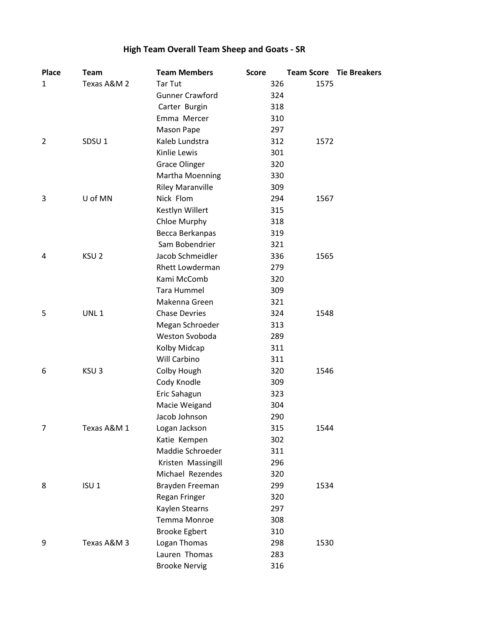# **High Team Overall Team Sheep and Goats - SR**

| <b>Place</b>   | <b>Team</b>       | <b>Team Members</b>     | <b>Score</b> | <b>Team Score Tie Breakers</b> |  |
|----------------|-------------------|-------------------------|--------------|--------------------------------|--|
| 1              | Texas A&M 2       | Tar Tut                 | 326          | 1575                           |  |
|                |                   | <b>Gunner Crawford</b>  | 324          |                                |  |
|                |                   | Carter Burgin           | 318          |                                |  |
|                |                   | Emma Mercer             | 310          |                                |  |
|                |                   | Mason Pape              | 297          |                                |  |
| $\overline{2}$ | SDSU <sub>1</sub> | Kaleb Lundstra          | 312          | 1572                           |  |
|                |                   | Kinlie Lewis            | 301          |                                |  |
|                |                   | <b>Grace Olinger</b>    | 320          |                                |  |
|                |                   | Martha Moenning         | 330          |                                |  |
|                |                   | <b>Riley Maranville</b> | 309          |                                |  |
| 3              | U of MN           | Nick Flom               | 294          | 1567                           |  |
|                |                   | Kestlyn Willert         | 315          |                                |  |
|                |                   | Chloe Murphy            | 318          |                                |  |
|                |                   | Becca Berkanpas         | 319          |                                |  |
|                |                   | Sam Bobendrier          | 321          |                                |  |
| 4              | KSU <sub>2</sub>  | Jacob Schmeidler        | 336          | 1565                           |  |
|                |                   | <b>Rhett Lowderman</b>  | 279          |                                |  |
|                |                   | Kami McComb             | 320          |                                |  |
|                |                   | <b>Tara Hummel</b>      | 309          |                                |  |
|                |                   | Makenna Green           | 321          |                                |  |
| 5              | UNL <sub>1</sub>  | <b>Chase Devries</b>    | 324          | 1548                           |  |
|                |                   | Megan Schroeder         | 313          |                                |  |
|                |                   | Weston Svoboda          | 289          |                                |  |
|                |                   | Kolby Midcap            | 311          |                                |  |
|                |                   | Will Carbino            | 311          |                                |  |
| 6              | KSU <sub>3</sub>  | Colby Hough             | 320          | 1546                           |  |
|                |                   | Cody Knodle             | 309          |                                |  |
|                |                   | Eric Sahagun            | 323          |                                |  |
|                |                   | Macie Weigand           | 304          |                                |  |
|                |                   | Jacob Johnson           | 290          |                                |  |
| $\overline{7}$ | Texas A&M 1       | Logan Jackson           | 315          | 1544                           |  |
|                |                   | Katie Kempen            | 302          |                                |  |
|                |                   | Maddie Schroeder        | 311          |                                |  |
|                |                   | Kristen Massingill      | 296          |                                |  |
|                |                   | Michael Rezendes        | 320          |                                |  |
| 8              | ISU <sub>1</sub>  | Brayden Freeman         | 299          | 1534                           |  |
|                |                   | Regan Fringer           | 320          |                                |  |
|                |                   | Kaylen Stearns          | 297          |                                |  |
|                |                   | Temma Monroe            | 308          |                                |  |
|                |                   | <b>Brooke Egbert</b>    | 310          |                                |  |
| 9              | Texas A&M 3       | Logan Thomas            | 298          | 1530                           |  |
|                |                   | Lauren Thomas           | 283          |                                |  |
|                |                   | <b>Brooke Nervig</b>    | 316          |                                |  |
|                |                   |                         |              |                                |  |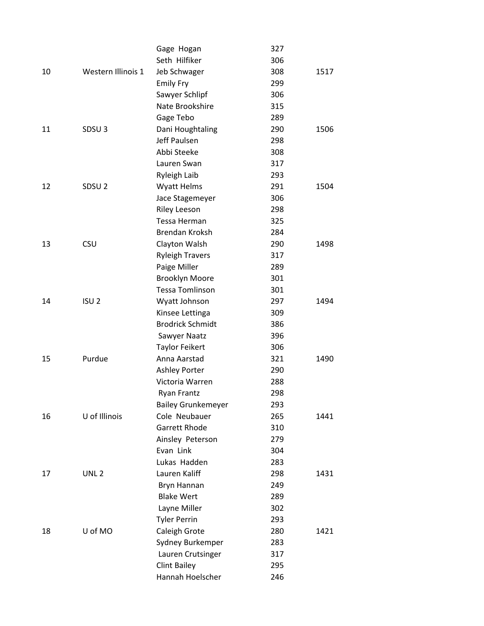|    |                    | Gage Hogan                | 327 |      |
|----|--------------------|---------------------------|-----|------|
|    |                    | Seth Hilfiker             | 306 |      |
| 10 | Western Illinois 1 | Jeb Schwager              | 308 | 1517 |
|    |                    | <b>Emily Fry</b>          | 299 |      |
|    |                    | Sawyer Schlipf            | 306 |      |
|    |                    | Nate Brookshire           | 315 |      |
|    |                    | Gage Tebo                 | 289 |      |
| 11 | SDSU <sub>3</sub>  | Dani Houghtaling          | 290 | 1506 |
|    |                    | Jeff Paulsen              | 298 |      |
|    |                    | Abbi Steeke               | 308 |      |
|    |                    | Lauren Swan               | 317 |      |
|    |                    | <b>Ryleigh Laib</b>       | 293 |      |
| 12 | SDSU <sub>2</sub>  | <b>Wyatt Helms</b>        | 291 | 1504 |
|    |                    | Jace Stagemeyer           | 306 |      |
|    |                    | <b>Riley Leeson</b>       | 298 |      |
|    |                    | Tessa Herman              | 325 |      |
|    |                    | <b>Brendan Kroksh</b>     | 284 |      |
| 13 | <b>CSU</b>         | Clayton Walsh             | 290 | 1498 |
|    |                    | <b>Ryleigh Travers</b>    | 317 |      |
|    |                    | Paige Miller              | 289 |      |
|    |                    | <b>Brooklyn Moore</b>     | 301 |      |
|    |                    | <b>Tessa Tomlinson</b>    | 301 |      |
| 14 | ISU <sub>2</sub>   | Wyatt Johnson             | 297 | 1494 |
|    |                    | Kinsee Lettinga           | 309 |      |
|    |                    | <b>Brodrick Schmidt</b>   | 386 |      |
|    |                    | Sawyer Naatz              | 396 |      |
|    |                    | <b>Taylor Feikert</b>     | 306 |      |
| 15 | Purdue             | Anna Aarstad              | 321 | 1490 |
|    |                    | <b>Ashley Porter</b>      | 290 |      |
|    |                    | Victoria Warren           | 288 |      |
|    |                    | <b>Ryan Frantz</b>        | 298 |      |
|    |                    | <b>Bailey Grunkemeyer</b> | 293 |      |
| 16 | U of Illinois      | Cole Neubauer             | 265 | 1441 |
|    |                    | <b>Garrett Rhode</b>      | 310 |      |
|    |                    | Ainsley Peterson          | 279 |      |
|    |                    | Evan Link                 | 304 |      |
|    |                    | Lukas Hadden              | 283 |      |
| 17 | UNL <sub>2</sub>   | Lauren Kaliff             | 298 | 1431 |
|    |                    | Bryn Hannan               | 249 |      |
|    |                    | <b>Blake Wert</b>         | 289 |      |
|    |                    | Layne Miller              | 302 |      |
|    |                    | <b>Tyler Perrin</b>       | 293 |      |
| 18 | U of MO            | Caleigh Grote             | 280 | 1421 |
|    |                    | Sydney Burkemper          | 283 |      |
|    |                    | Lauren Crutsinger         | 317 |      |
|    |                    | <b>Clint Bailey</b>       | 295 |      |
|    |                    | Hannah Hoelscher          | 246 |      |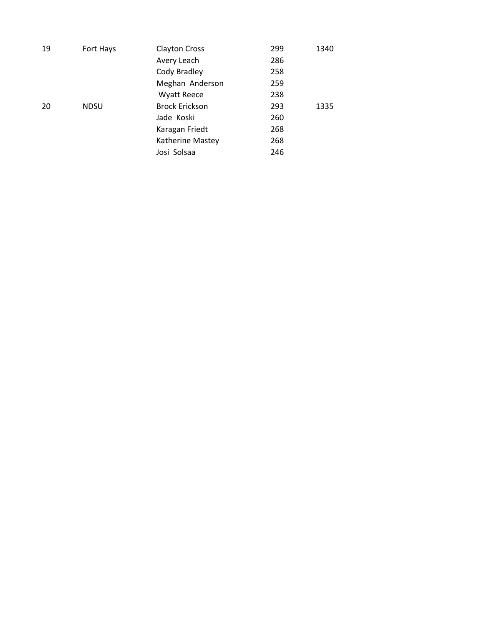| 19 | Fort Hays   | <b>Clayton Cross</b>  | 299 | 1340 |
|----|-------------|-----------------------|-----|------|
|    |             | Avery Leach           | 286 |      |
|    |             | Cody Bradley          | 258 |      |
|    |             | Meghan Anderson       | 259 |      |
|    |             | <b>Wyatt Reece</b>    | 238 |      |
| 20 | <b>NDSU</b> | <b>Brock Erickson</b> | 293 | 1335 |
|    |             | Jade Koski            | 260 |      |
|    |             | Karagan Friedt        | 268 |      |
|    |             | Katherine Mastey      | 268 |      |
|    |             | Josi Solsaa           | 246 |      |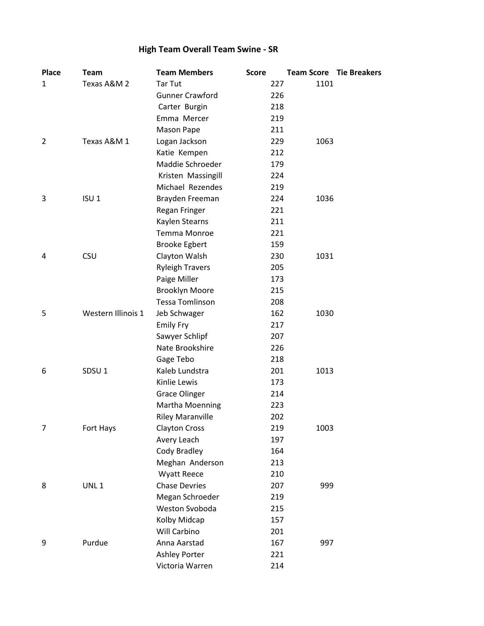# **High Team Overall Team Swine - SR**

| <b>Tar Tut</b><br>Texas A&M 2<br>227<br>1101<br>1<br><b>Gunner Crawford</b><br>226<br>Carter Burgin<br>218<br>Emma Mercer<br>219<br>211<br>Mason Pape |  |
|-------------------------------------------------------------------------------------------------------------------------------------------------------|--|
|                                                                                                                                                       |  |
|                                                                                                                                                       |  |
|                                                                                                                                                       |  |
|                                                                                                                                                       |  |
|                                                                                                                                                       |  |
| $\overline{2}$<br>Texas A&M 1<br>Logan Jackson<br>229<br>1063                                                                                         |  |
| Katie Kempen<br>212                                                                                                                                   |  |
| Maddie Schroeder<br>179                                                                                                                               |  |
| 224<br>Kristen Massingill                                                                                                                             |  |
| Michael Rezendes<br>219                                                                                                                               |  |
| ISU <sub>1</sub><br>3<br>Brayden Freeman<br>224<br>1036                                                                                               |  |
| 221<br>Regan Fringer                                                                                                                                  |  |
| Kaylen Stearns<br>211                                                                                                                                 |  |
| Temma Monroe<br>221                                                                                                                                   |  |
| <b>Brooke Egbert</b><br>159                                                                                                                           |  |
| <b>CSU</b><br>230<br>Clayton Walsh<br>1031<br>4                                                                                                       |  |
| <b>Ryleigh Travers</b><br>205                                                                                                                         |  |
| Paige Miller<br>173                                                                                                                                   |  |
| <b>Brooklyn Moore</b><br>215                                                                                                                          |  |
| <b>Tessa Tomlinson</b><br>208                                                                                                                         |  |
| 5<br>Western Illinois 1<br>162<br>Jeb Schwager<br>1030                                                                                                |  |
| <b>Emily Fry</b><br>217                                                                                                                               |  |
| Sawyer Schlipf<br>207                                                                                                                                 |  |
| Nate Brookshire<br>226                                                                                                                                |  |
| Gage Tebo<br>218                                                                                                                                      |  |
| SDSU <sub>1</sub><br>Kaleb Lundstra<br>201<br>1013<br>6                                                                                               |  |
| Kinlie Lewis<br>173                                                                                                                                   |  |
| <b>Grace Olinger</b><br>214                                                                                                                           |  |
| Martha Moenning<br>223                                                                                                                                |  |
| <b>Riley Maranville</b><br>202                                                                                                                        |  |
| $\overline{7}$<br>Fort Hays<br><b>Clayton Cross</b><br>219<br>1003                                                                                    |  |
| Avery Leach<br>197                                                                                                                                    |  |
| Cody Bradley<br>164                                                                                                                                   |  |
| Meghan Anderson<br>213                                                                                                                                |  |
| 210<br><b>Wyatt Reece</b>                                                                                                                             |  |
| UNL1<br><b>Chase Devries</b><br>8<br>207<br>999                                                                                                       |  |
| Megan Schroeder<br>219                                                                                                                                |  |
| Weston Svoboda<br>215                                                                                                                                 |  |
| Kolby Midcap<br>157                                                                                                                                   |  |
| 201<br>Will Carbino                                                                                                                                   |  |
| 9<br>Purdue<br>Anna Aarstad<br>167<br>997                                                                                                             |  |
| <b>Ashley Porter</b><br>221                                                                                                                           |  |
| Victoria Warren<br>214                                                                                                                                |  |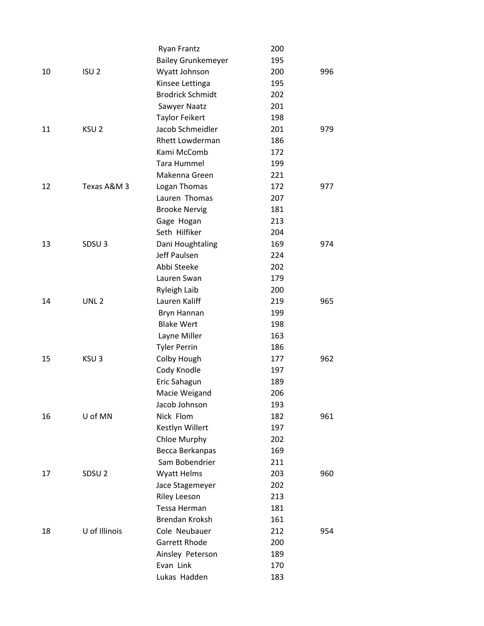|    |                   | <b>Ryan Frantz</b>        | 200 |     |
|----|-------------------|---------------------------|-----|-----|
|    |                   | <b>Bailey Grunkemeyer</b> | 195 |     |
| 10 | ISU <sub>2</sub>  | Wyatt Johnson             | 200 | 996 |
|    |                   | Kinsee Lettinga           | 195 |     |
|    |                   | <b>Brodrick Schmidt</b>   | 202 |     |
|    |                   | Sawyer Naatz              | 201 |     |
|    |                   | <b>Taylor Feikert</b>     | 198 |     |
| 11 | KSU <sub>2</sub>  | Jacob Schmeidler          | 201 | 979 |
|    |                   | <b>Rhett Lowderman</b>    | 186 |     |
|    |                   | Kami McComb               | 172 |     |
|    |                   | Tara Hummel               | 199 |     |
|    |                   | Makenna Green             | 221 |     |
| 12 | Texas A&M 3       | Logan Thomas              | 172 | 977 |
|    |                   | Lauren Thomas             | 207 |     |
|    |                   | <b>Brooke Nervig</b>      | 181 |     |
|    |                   | Gage Hogan                | 213 |     |
|    |                   | Seth Hilfiker             | 204 |     |
| 13 | SDSU <sub>3</sub> | Dani Houghtaling          | 169 | 974 |
|    |                   | Jeff Paulsen              | 224 |     |
|    |                   | Abbi Steeke               | 202 |     |
|    |                   | Lauren Swan               | 179 |     |
|    |                   | Ryleigh Laib              | 200 |     |
| 14 | UNL <sub>2</sub>  | Lauren Kaliff             | 219 | 965 |
|    |                   | Bryn Hannan               | 199 |     |
|    |                   | <b>Blake Wert</b>         | 198 |     |
|    |                   | Layne Miller              | 163 |     |
|    |                   | <b>Tyler Perrin</b>       | 186 |     |
| 15 | KSU <sub>3</sub>  | Colby Hough               | 177 | 962 |
|    |                   | Cody Knodle               | 197 |     |
|    |                   | Eric Sahagun              | 189 |     |
|    |                   | Macie Weigand             | 206 |     |
|    |                   | Jacob Johnson             | 193 |     |
| 16 | U of MN           | Nick Flom                 | 182 | 961 |
|    |                   | Kestlyn Willert           | 197 |     |
|    |                   | Chloe Murphy              | 202 |     |
|    |                   | Becca Berkanpas           | 169 |     |
|    |                   | Sam Bobendrier            | 211 |     |
| 17 | SDSU <sub>2</sub> | <b>Wyatt Helms</b>        | 203 | 960 |
|    |                   | Jace Stagemeyer           | 202 |     |
|    |                   | <b>Riley Leeson</b>       | 213 |     |
|    |                   | Tessa Herman              | 181 |     |
|    |                   | <b>Brendan Kroksh</b>     | 161 |     |
| 18 | U of Illinois     | Cole Neubauer             | 212 | 954 |
|    |                   | <b>Garrett Rhode</b>      | 200 |     |
|    |                   | Ainsley Peterson          | 189 |     |
|    |                   | Evan Link                 | 170 |     |
|    |                   | Lukas Hadden              | 183 |     |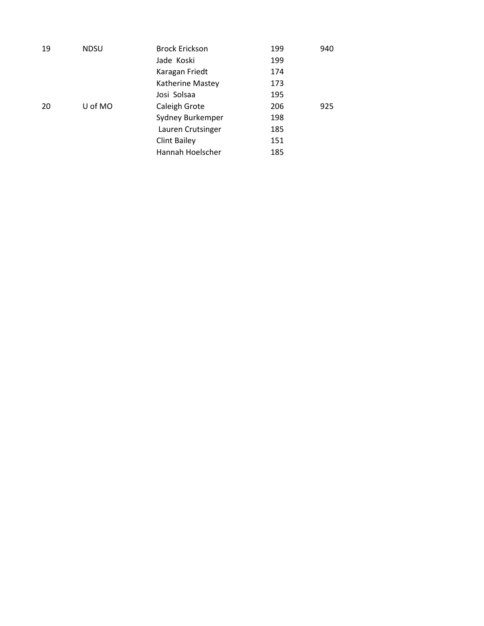| 19 | <b>NDSU</b> | <b>Brock Erickson</b> | 199 | 940 |
|----|-------------|-----------------------|-----|-----|
|    |             | Jade Koski            | 199 |     |
|    |             | Karagan Friedt        | 174 |     |
|    |             | Katherine Mastey      | 173 |     |
|    |             | Josi Solsaa           | 195 |     |
| 20 | U of MO     | Caleigh Grote         | 206 | 925 |
|    |             | Sydney Burkemper      | 198 |     |
|    |             | Lauren Crutsinger     | 185 |     |
|    |             | <b>Clint Bailey</b>   | 151 |     |
|    |             | Hannah Hoelscher      | 185 |     |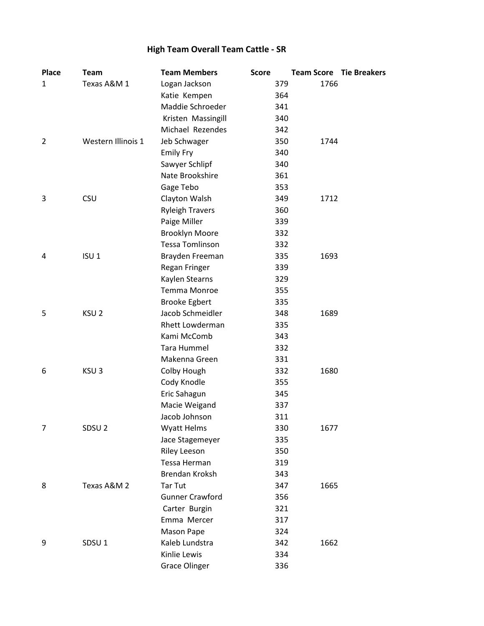# **High Team Overall Team Cattle - SR**

| <b>Place</b>   | <b>Team</b>        | <b>Team Members</b>    | <b>Score</b> | <b>Team Score Tie Breakers</b> |  |
|----------------|--------------------|------------------------|--------------|--------------------------------|--|
| 1              | Texas A&M 1        | Logan Jackson          | 379          | 1766                           |  |
|                |                    | Katie Kempen           | 364          |                                |  |
|                |                    | Maddie Schroeder       | 341          |                                |  |
|                |                    | Kristen Massingill     | 340          |                                |  |
|                |                    | Michael Rezendes       | 342          |                                |  |
| 2              | Western Illinois 1 | Jeb Schwager           | 350          | 1744                           |  |
|                |                    | <b>Emily Fry</b>       | 340          |                                |  |
|                |                    | Sawyer Schlipf         | 340          |                                |  |
|                |                    | Nate Brookshire        | 361          |                                |  |
|                |                    | Gage Tebo              | 353          |                                |  |
| 3              | <b>CSU</b>         | Clayton Walsh          | 349          | 1712                           |  |
|                |                    | <b>Ryleigh Travers</b> | 360          |                                |  |
|                |                    | Paige Miller           | 339          |                                |  |
|                |                    | <b>Brooklyn Moore</b>  | 332          |                                |  |
|                |                    | <b>Tessa Tomlinson</b> | 332          |                                |  |
| 4              | ISU <sub>1</sub>   | Brayden Freeman        | 335          | 1693                           |  |
|                |                    | Regan Fringer          | 339          |                                |  |
|                |                    | Kaylen Stearns         | 329          |                                |  |
|                |                    | Temma Monroe           | 355          |                                |  |
|                |                    | <b>Brooke Egbert</b>   | 335          |                                |  |
| 5              | KSU <sub>2</sub>   | Jacob Schmeidler       | 348          | 1689                           |  |
|                |                    | Rhett Lowderman        | 335          |                                |  |
|                |                    | Kami McComb            | 343          |                                |  |
|                |                    | Tara Hummel            | 332          |                                |  |
|                |                    | Makenna Green          | 331          |                                |  |
| 6              | KSU <sub>3</sub>   | Colby Hough            | 332          | 1680                           |  |
|                |                    | Cody Knodle            | 355          |                                |  |
|                |                    | Eric Sahagun           | 345          |                                |  |
|                |                    | Macie Weigand          | 337          |                                |  |
|                |                    | Jacob Johnson          | 311          |                                |  |
| $\overline{7}$ | SDSU <sub>2</sub>  | <b>Wyatt Helms</b>     | 330          | 1677                           |  |
|                |                    | Jace Stagemeyer        | 335          |                                |  |
|                |                    | <b>Riley Leeson</b>    | 350          |                                |  |
|                |                    | Tessa Herman           | 319          |                                |  |
|                |                    | Brendan Kroksh         | 343          |                                |  |
| 8              | Texas A&M 2        | Tar Tut                | 347          | 1665                           |  |
|                |                    | <b>Gunner Crawford</b> | 356          |                                |  |
|                |                    | Carter Burgin          | 321          |                                |  |
|                |                    | Emma Mercer            | 317          |                                |  |
|                |                    | Mason Pape             | 324          |                                |  |
| 9              | SDSU <sub>1</sub>  | Kaleb Lundstra         | 342          | 1662                           |  |
|                |                    | Kinlie Lewis           | 334          |                                |  |
|                |                    | <b>Grace Olinger</b>   | 336          |                                |  |
|                |                    |                        |              |                                |  |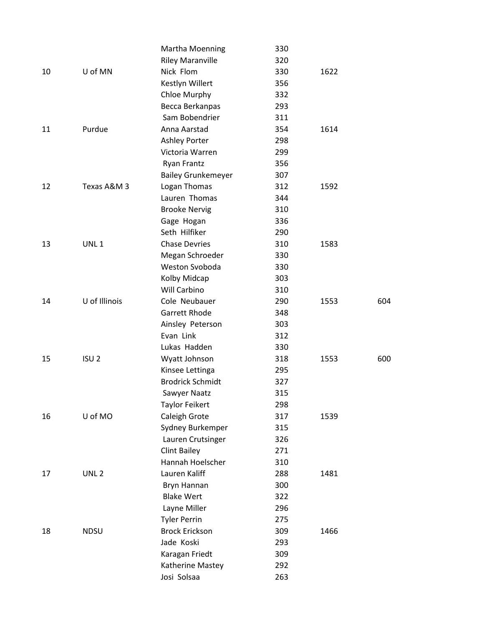|    |                  | Martha Moenning           | 330 |      |     |
|----|------------------|---------------------------|-----|------|-----|
|    |                  | <b>Riley Maranville</b>   | 320 |      |     |
| 10 | U of MN          | Nick Flom                 | 330 | 1622 |     |
|    |                  | Kestlyn Willert           | 356 |      |     |
|    |                  | Chloe Murphy              | 332 |      |     |
|    |                  | Becca Berkanpas           | 293 |      |     |
|    |                  | Sam Bobendrier            | 311 |      |     |
| 11 | Purdue           | Anna Aarstad              | 354 | 1614 |     |
|    |                  | <b>Ashley Porter</b>      | 298 |      |     |
|    |                  | Victoria Warren           | 299 |      |     |
|    |                  | <b>Ryan Frantz</b>        | 356 |      |     |
|    |                  | <b>Bailey Grunkemeyer</b> | 307 |      |     |
| 12 | Texas A&M 3      | Logan Thomas              | 312 | 1592 |     |
|    |                  | Lauren Thomas             | 344 |      |     |
|    |                  | <b>Brooke Nervig</b>      | 310 |      |     |
|    |                  | Gage Hogan                | 336 |      |     |
|    |                  | Seth Hilfiker             | 290 |      |     |
| 13 | UNL <sub>1</sub> | <b>Chase Devries</b>      | 310 | 1583 |     |
|    |                  | Megan Schroeder           | 330 |      |     |
|    |                  | Weston Svoboda            | 330 |      |     |
|    |                  | Kolby Midcap              | 303 |      |     |
|    |                  | Will Carbino              | 310 |      |     |
| 14 | U of Illinois    | Cole Neubauer             | 290 | 1553 | 604 |
|    |                  | Garrett Rhode             | 348 |      |     |
|    |                  | Ainsley Peterson          | 303 |      |     |
|    |                  | Evan Link                 | 312 |      |     |
|    |                  | Lukas Hadden              | 330 |      |     |
| 15 | ISU <sub>2</sub> | Wyatt Johnson             | 318 | 1553 | 600 |
|    |                  | Kinsee Lettinga           | 295 |      |     |
|    |                  | <b>Brodrick Schmidt</b>   | 327 |      |     |
|    |                  | Sawyer Naatz              | 315 |      |     |
|    |                  | <b>Taylor Feikert</b>     | 298 |      |     |
| 16 | U of MO          | Caleigh Grote             | 317 | 1539 |     |
|    |                  | Sydney Burkemper          | 315 |      |     |
|    |                  | Lauren Crutsinger         | 326 |      |     |
|    |                  | <b>Clint Bailey</b>       | 271 |      |     |
|    |                  | Hannah Hoelscher          | 310 |      |     |
| 17 | UNL <sub>2</sub> | Lauren Kaliff             | 288 | 1481 |     |
|    |                  | Bryn Hannan               | 300 |      |     |
|    |                  | <b>Blake Wert</b>         | 322 |      |     |
|    |                  | Layne Miller              | 296 |      |     |
|    |                  | <b>Tyler Perrin</b>       | 275 |      |     |
| 18 | <b>NDSU</b>      | <b>Brock Erickson</b>     | 309 | 1466 |     |
|    |                  | Jade Koski                | 293 |      |     |
|    |                  | Karagan Friedt            | 309 |      |     |
|    |                  | Katherine Mastey          | 292 |      |     |
|    |                  | Josi Solsaa               | 263 |      |     |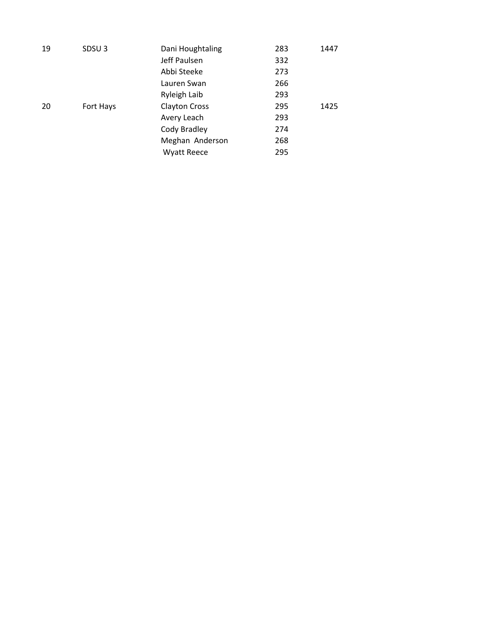| 19 | SDSU <sub>3</sub> | Dani Houghtaling     | 283 | 1447 |
|----|-------------------|----------------------|-----|------|
|    |                   | Jeff Paulsen         | 332 |      |
|    |                   | Abbi Steeke          | 273 |      |
|    |                   | Lauren Swan          | 266 |      |
|    |                   | Ryleigh Laib         | 293 |      |
| 20 | Fort Hays         | <b>Clayton Cross</b> | 295 | 1425 |
|    |                   | Avery Leach          | 293 |      |
|    |                   | Cody Bradley         | 274 |      |
|    |                   | Meghan Anderson      | 268 |      |
|    |                   | <b>Wyatt Reece</b>   | 295 |      |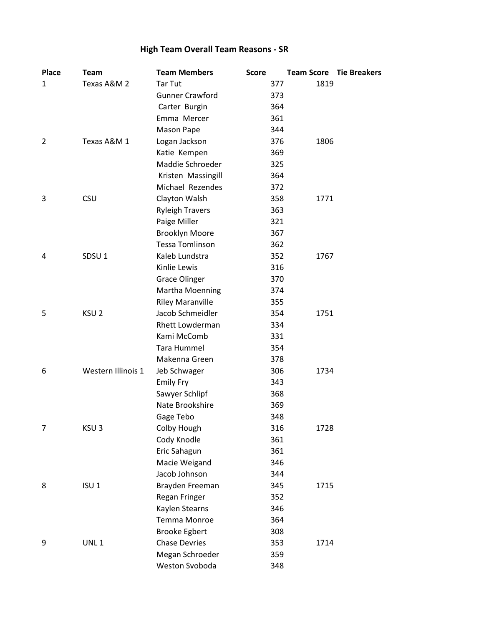# **High Team Overall Team Reasons - SR**

| <b>Place</b>   | <b>Team</b>        | <b>Team Members</b>     | <b>Score</b> | <b>Team Score Tie Breakers</b> |  |
|----------------|--------------------|-------------------------|--------------|--------------------------------|--|
| 1              | Texas A&M 2        | <b>Tar Tut</b>          | 377          | 1819                           |  |
|                |                    | <b>Gunner Crawford</b>  | 373          |                                |  |
|                |                    | Carter Burgin           | 364          |                                |  |
|                |                    | Emma Mercer             | 361          |                                |  |
|                |                    | Mason Pape              | 344          |                                |  |
| 2              | Texas A&M 1        | Logan Jackson           | 376          | 1806                           |  |
|                |                    | Katie Kempen            | 369          |                                |  |
|                |                    | Maddie Schroeder        | 325          |                                |  |
|                |                    | Kristen Massingill      | 364          |                                |  |
|                |                    | Michael Rezendes        | 372          |                                |  |
| 3              | <b>CSU</b>         | Clayton Walsh           | 358          | 1771                           |  |
|                |                    | <b>Ryleigh Travers</b>  | 363          |                                |  |
|                |                    | Paige Miller            | 321          |                                |  |
|                |                    | <b>Brooklyn Moore</b>   | 367          |                                |  |
|                |                    | <b>Tessa Tomlinson</b>  | 362          |                                |  |
| 4              | SDSU <sub>1</sub>  | Kaleb Lundstra          | 352          | 1767                           |  |
|                |                    | Kinlie Lewis            | 316          |                                |  |
|                |                    | <b>Grace Olinger</b>    | 370          |                                |  |
|                |                    | Martha Moenning         | 374          |                                |  |
|                |                    | <b>Riley Maranville</b> | 355          |                                |  |
| 5              | KSU <sub>2</sub>   | Jacob Schmeidler        | 354          | 1751                           |  |
|                |                    | Rhett Lowderman         | 334          |                                |  |
|                |                    | Kami McComb             | 331          |                                |  |
|                |                    | Tara Hummel             | 354          |                                |  |
|                |                    | Makenna Green           | 378          |                                |  |
| 6              | Western Illinois 1 | Jeb Schwager            | 306          | 1734                           |  |
|                |                    | <b>Emily Fry</b>        | 343          |                                |  |
|                |                    | Sawyer Schlipf          | 368          |                                |  |
|                |                    | Nate Brookshire         | 369          |                                |  |
|                |                    | Gage Tebo               | 348          |                                |  |
| $\overline{7}$ | KSU <sub>3</sub>   | Colby Hough             | 316          | 1728                           |  |
|                |                    | Cody Knodle             | 361          |                                |  |
|                |                    | Eric Sahagun            | 361          |                                |  |
|                |                    | Macie Weigand           | 346          |                                |  |
|                |                    | Jacob Johnson           | 344          |                                |  |
| 8              | ISU <sub>1</sub>   | Brayden Freeman         | 345          | 1715                           |  |
|                |                    | Regan Fringer           | 352          |                                |  |
|                |                    | Kaylen Stearns          | 346          |                                |  |
|                |                    | Temma Monroe            | 364          |                                |  |
|                |                    | <b>Brooke Egbert</b>    | 308          |                                |  |
| 9              | UNL <sub>1</sub>   | <b>Chase Devries</b>    | 353          | 1714                           |  |
|                |                    | Megan Schroeder         | 359          |                                |  |
|                |                    | Weston Svoboda          | 348          |                                |  |
|                |                    |                         |              |                                |  |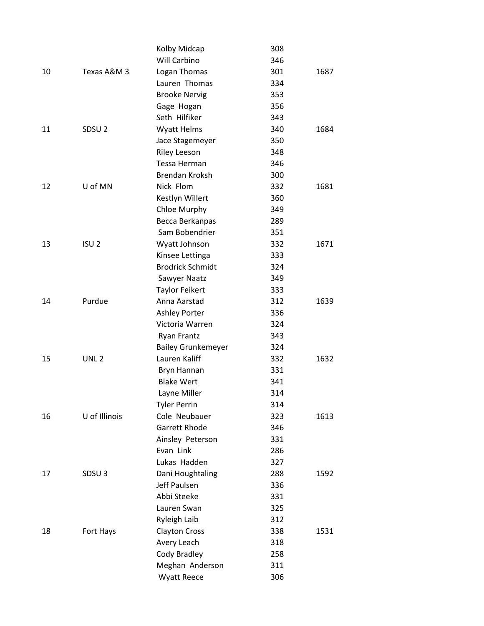|    |                   | Kolby Midcap              | 308 |      |
|----|-------------------|---------------------------|-----|------|
|    |                   | Will Carbino              | 346 |      |
| 10 | Texas A&M 3       | Logan Thomas              | 301 | 1687 |
|    |                   | Lauren Thomas             | 334 |      |
|    |                   | <b>Brooke Nervig</b>      | 353 |      |
|    |                   | Gage Hogan                | 356 |      |
|    |                   | Seth Hilfiker             | 343 |      |
| 11 | SDSU <sub>2</sub> | <b>Wyatt Helms</b>        | 340 | 1684 |
|    |                   | Jace Stagemeyer           | 350 |      |
|    |                   | <b>Riley Leeson</b>       | 348 |      |
|    |                   | Tessa Herman              | 346 |      |
|    |                   | <b>Brendan Kroksh</b>     | 300 |      |
| 12 | U of MN           | Nick Flom                 | 332 | 1681 |
|    |                   | Kestlyn Willert           | 360 |      |
|    |                   | Chloe Murphy              | 349 |      |
|    |                   | Becca Berkanpas           | 289 |      |
|    |                   | Sam Bobendrier            | 351 |      |
| 13 | ISU <sub>2</sub>  | Wyatt Johnson             | 332 | 1671 |
|    |                   | Kinsee Lettinga           | 333 |      |
|    |                   | <b>Brodrick Schmidt</b>   | 324 |      |
|    |                   | Sawyer Naatz              | 349 |      |
|    |                   | <b>Taylor Feikert</b>     | 333 |      |
| 14 | Purdue            | Anna Aarstad              | 312 | 1639 |
|    |                   | <b>Ashley Porter</b>      | 336 |      |
|    |                   | Victoria Warren           | 324 |      |
|    |                   | <b>Ryan Frantz</b>        | 343 |      |
|    |                   | <b>Bailey Grunkemeyer</b> | 324 |      |
| 15 | UNL <sub>2</sub>  | Lauren Kaliff             | 332 | 1632 |
|    |                   | Bryn Hannan               | 331 |      |
|    |                   | <b>Blake Wert</b>         | 341 |      |
|    |                   | Layne Miller              | 314 |      |
|    |                   | <b>Tyler Perrin</b>       | 314 |      |
| 16 | U of Illinois     | Cole Neubauer             | 323 | 1613 |
|    |                   | Garrett Rhode             | 346 |      |
|    |                   | Ainsley Peterson          | 331 |      |
|    |                   | Evan Link                 | 286 |      |
|    |                   | Lukas Hadden              | 327 |      |
| 17 | SDSU <sub>3</sub> | Dani Houghtaling          | 288 | 1592 |
|    |                   | Jeff Paulsen              | 336 |      |
|    |                   | Abbi Steeke               | 331 |      |
|    |                   | Lauren Swan               | 325 |      |
|    |                   | Ryleigh Laib              | 312 |      |
| 18 | Fort Hays         | <b>Clayton Cross</b>      | 338 | 1531 |
|    |                   | Avery Leach               | 318 |      |
|    |                   | Cody Bradley              | 258 |      |
|    |                   | Meghan Anderson           | 311 |      |
|    |                   | Wyatt Reece               | 306 |      |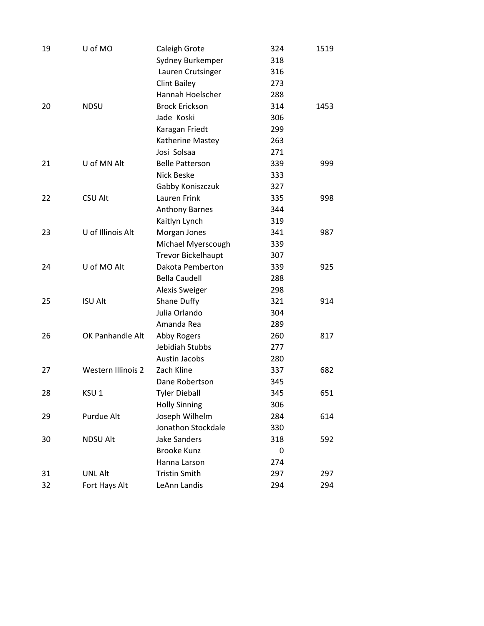| 19 | U of MO                   | Caleigh Grote             | 324 | 1519 |
|----|---------------------------|---------------------------|-----|------|
|    |                           | Sydney Burkemper          | 318 |      |
|    |                           | Lauren Crutsinger         | 316 |      |
|    |                           | <b>Clint Bailey</b>       | 273 |      |
|    |                           | Hannah Hoelscher          | 288 |      |
| 20 | <b>NDSU</b>               | <b>Brock Erickson</b>     | 314 | 1453 |
|    |                           | Jade Koski                | 306 |      |
|    |                           | Karagan Friedt            | 299 |      |
|    |                           | Katherine Mastey          | 263 |      |
|    |                           | Josi Solsaa               | 271 |      |
| 21 | U of MN Alt               | <b>Belle Patterson</b>    | 339 | 999  |
|    |                           | Nick Beske                | 333 |      |
|    |                           | Gabby Koniszczuk          | 327 |      |
| 22 | <b>CSU Alt</b>            | Lauren Frink              | 335 | 998  |
|    |                           | <b>Anthony Barnes</b>     | 344 |      |
|    |                           | Kaitlyn Lynch             | 319 |      |
| 23 | U of Illinois Alt         | Morgan Jones              | 341 | 987  |
|    |                           | Michael Myerscough        | 339 |      |
|    |                           | <b>Trevor Bickelhaupt</b> | 307 |      |
| 24 | U of MO Alt               | Dakota Pemberton          | 339 | 925  |
|    |                           | <b>Bella Caudell</b>      | 288 |      |
|    |                           | <b>Alexis Sweiger</b>     | 298 |      |
| 25 | <b>ISU Alt</b>            | Shane Duffy               | 321 | 914  |
|    |                           | Julia Orlando             | 304 |      |
|    |                           | Amanda Rea                | 289 |      |
| 26 | OK Panhandle Alt          | Abby Rogers               | 260 | 817  |
|    |                           | Jebidiah Stubbs           | 277 |      |
|    |                           | Austin Jacobs             | 280 |      |
| 27 | <b>Western Illinois 2</b> | Zach Kline                | 337 | 682  |
|    |                           | Dane Robertson            | 345 |      |
| 28 | KSU <sub>1</sub>          | <b>Tyler Dieball</b>      | 345 | 651  |
|    |                           | <b>Holly Sinning</b>      | 306 |      |
| 29 | Purdue Alt                | Joseph Wilhelm            | 284 | 614  |
|    |                           | Jonathon Stockdale        | 330 |      |
| 30 | <b>NDSU Alt</b>           | <b>Jake Sanders</b>       | 318 | 592  |
|    |                           | <b>Brooke Kunz</b>        | 0   |      |
|    |                           | Hanna Larson              | 274 |      |
| 31 | <b>UNL Alt</b>            | <b>Tristin Smith</b>      | 297 | 297  |
| 32 | Fort Hays Alt             | LeAnn Landis              | 294 | 294  |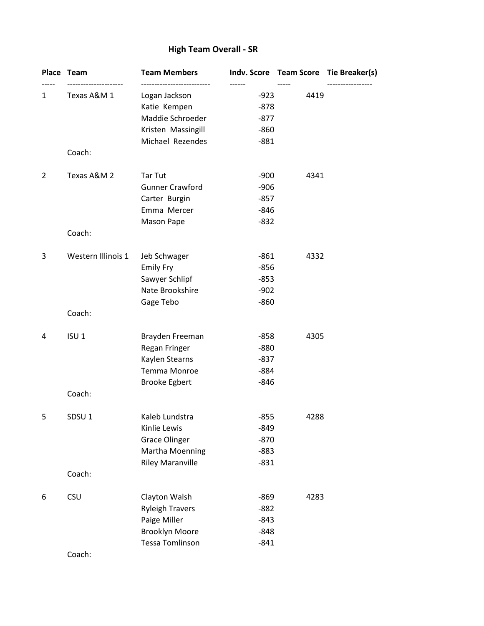### **High Team Overall - SR**

|   | Place Team         | <b>Team Members</b>     |                  |      | Indv. Score Team Score Tie Breaker(s) |
|---|--------------------|-------------------------|------------------|------|---------------------------------------|
| 1 | Texas A&M 1        | Logan Jackson           | ------<br>$-923$ | 4419 |                                       |
|   |                    | Katie Kempen            | $-878$           |      |                                       |
|   |                    | Maddie Schroeder        | $-877$           |      |                                       |
|   |                    | Kristen Massingill      | $-860$           |      |                                       |
|   | Coach:             | Michael Rezendes        | $-881$           |      |                                       |
| 2 | Texas A&M 2        | <b>Tar Tut</b>          | $-900$           | 4341 |                                       |
|   |                    | <b>Gunner Crawford</b>  | $-906$           |      |                                       |
|   |                    | Carter Burgin           | $-857$           |      |                                       |
|   |                    | Emma Mercer             | $-846$           |      |                                       |
|   |                    | Mason Pape              | $-832$           |      |                                       |
|   | Coach:             |                         |                  |      |                                       |
| 3 | Western Illinois 1 | Jeb Schwager            | $-861$           | 4332 |                                       |
|   |                    | <b>Emily Fry</b>        | $-856$           |      |                                       |
|   |                    | Sawyer Schlipf          | $-853$           |      |                                       |
|   |                    | Nate Brookshire         | $-902$           |      |                                       |
|   | Coach:             | Gage Tebo               | $-860$           |      |                                       |
| 4 | ISU <sub>1</sub>   | Brayden Freeman         | $-858$           | 4305 |                                       |
|   |                    | Regan Fringer           | $-880$           |      |                                       |
|   |                    | Kaylen Stearns          | $-837$           |      |                                       |
|   |                    | Temma Monroe            | $-884$           |      |                                       |
|   |                    | <b>Brooke Egbert</b>    | $-846$           |      |                                       |
|   | Coach:             |                         |                  |      |                                       |
| 5 | SDSU <sub>1</sub>  | Kaleb Lundstra          | $-855$           | 4288 |                                       |
|   |                    | Kinlie Lewis            | -849             |      |                                       |
|   |                    | <b>Grace Olinger</b>    | $-870$           |      |                                       |
|   |                    | Martha Moenning         | $-883$           |      |                                       |
|   | Coach:             | <b>Riley Maranville</b> | $-831$           |      |                                       |
| 6 | <b>CSU</b>         | Clayton Walsh           | $-869$           | 4283 |                                       |
|   |                    | <b>Ryleigh Travers</b>  | $-882$           |      |                                       |
|   |                    | Paige Miller            | $-843$           |      |                                       |
|   |                    | <b>Brooklyn Moore</b>   | $-848$           |      |                                       |
|   |                    | <b>Tessa Tomlinson</b>  | $-841$           |      |                                       |
|   |                    |                         |                  |      |                                       |

Coach: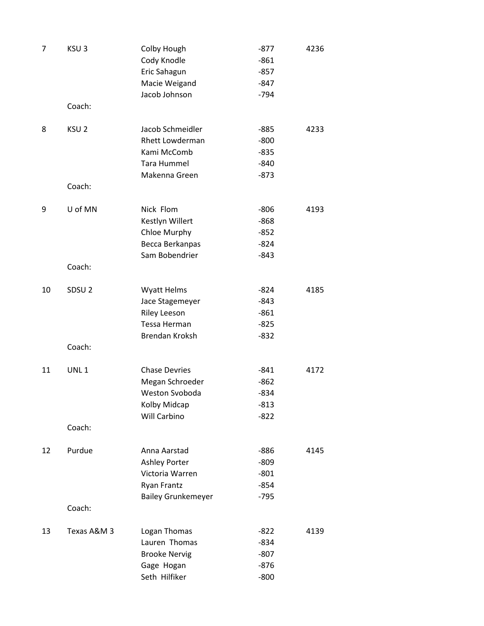| 7  | KSU <sub>3</sub>  | Colby Hough<br>Cody Knodle<br>Eric Sahagun<br>Macie Weigand                                    | $-877$<br>$-861$<br>$-857$<br>$-847$           | 4236 |
|----|-------------------|------------------------------------------------------------------------------------------------|------------------------------------------------|------|
|    |                   | Jacob Johnson                                                                                  | $-794$                                         |      |
|    | Coach:            |                                                                                                |                                                |      |
| 8  | KSU <sub>2</sub>  | Jacob Schmeidler<br>Rhett Lowderman<br>Kami McComb<br><b>Tara Hummel</b><br>Makenna Green      | $-885$<br>$-800$<br>$-835$<br>$-840$<br>$-873$ | 4233 |
|    | Coach:            |                                                                                                |                                                |      |
| 9  | U of MN<br>Coach: | Nick Flom<br>Kestlyn Willert<br>Chloe Murphy<br>Becca Berkanpas<br>Sam Bobendrier              | $-806$<br>$-868$<br>$-852$<br>$-824$<br>$-843$ | 4193 |
|    |                   |                                                                                                |                                                |      |
| 10 | SDSU <sub>2</sub> | <b>Wyatt Helms</b><br>Jace Stagemeyer<br><b>Riley Leeson</b><br>Tessa Herman<br>Brendan Kroksh | $-824$<br>-843<br>$-861$<br>$-825$<br>$-832$   | 4185 |
|    | Coach:            |                                                                                                |                                                |      |
| 11 | UNL <sub>1</sub>  | <b>Chase Devries</b><br>Megan Schroeder<br>Weston Svoboda<br>Kolby Midcap<br>Will Carbino      | $-841$<br>$-862$<br>-834<br>$-813$<br>$-822$   | 4172 |
|    | Coach:            |                                                                                                |                                                |      |
| 12 | Purdue            | Anna Aarstad<br>Ashley Porter<br>Victoria Warren<br><b>Ryan Frantz</b>                         | $-886$<br>$-809$<br>$-801$<br>$-854$           | 4145 |
|    | Coach:            | <b>Bailey Grunkemeyer</b>                                                                      | $-795$                                         |      |
| 13 | Texas A&M 3       | Logan Thomas<br>Lauren Thomas<br><b>Brooke Nervig</b><br>Gage Hogan<br>Seth Hilfiker           | $-822$<br>$-834$<br>$-807$<br>$-876$<br>$-800$ | 4139 |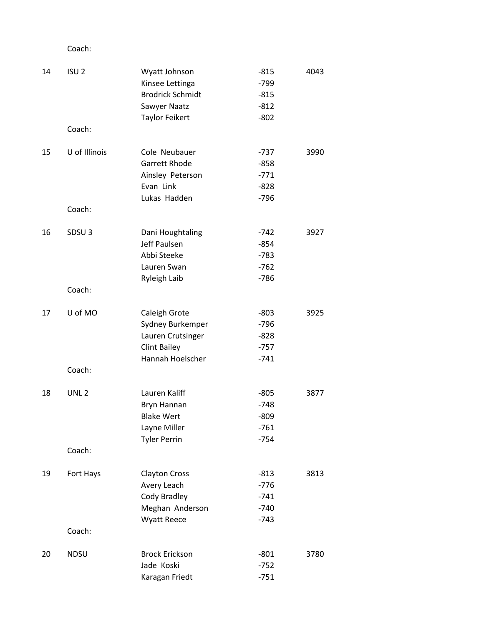### Coach:

| ISU <sub>2</sub>  | Wyatt Johnson                 | $-815$                                                                                                              | 4043   |
|-------------------|-------------------------------|---------------------------------------------------------------------------------------------------------------------|--------|
|                   |                               |                                                                                                                     |        |
|                   |                               | $-815$                                                                                                              |        |
|                   | Sawyer Naatz                  | $-812$                                                                                                              |        |
|                   | <b>Taylor Feikert</b>         | $-802$                                                                                                              |        |
|                   |                               |                                                                                                                     |        |
| U of Illinois     | Cole Neubauer                 | $-737$                                                                                                              | 3990   |
|                   | <b>Garrett Rhode</b>          | $-858$                                                                                                              |        |
|                   | Ainsley Peterson              | $-771$                                                                                                              |        |
|                   | Evan Link                     | $-828$                                                                                                              |        |
|                   | Lukas Hadden                  | $-796$                                                                                                              |        |
|                   |                               |                                                                                                                     |        |
| SDSU <sub>3</sub> | Dani Houghtaling              | $-742$                                                                                                              | 3927   |
|                   | Jeff Paulsen                  | $-854$                                                                                                              |        |
|                   | Abbi Steeke                   | $-783$                                                                                                              |        |
|                   | Lauren Swan                   | $-762$                                                                                                              |        |
|                   | Ryleigh Laib                  | $-786$                                                                                                              |        |
| Coach:            |                               |                                                                                                                     |        |
| U of MO           | Caleigh Grote                 | $-803$                                                                                                              | 3925   |
|                   | Sydney Burkemper              | $-796$                                                                                                              |        |
|                   | Lauren Crutsinger             | $-828$                                                                                                              |        |
|                   | <b>Clint Bailey</b>           | $-757$                                                                                                              |        |
|                   | Hannah Hoelscher              | $-741$                                                                                                              |        |
| Coach:            |                               |                                                                                                                     |        |
| UNL <sub>2</sub>  | Lauren Kaliff                 | $-805$                                                                                                              | 3877   |
|                   |                               | $-748$                                                                                                              |        |
|                   | <b>Blake Wert</b>             | $-809$                                                                                                              |        |
|                   | Layne Miller                  | $-761$                                                                                                              |        |
|                   | <b>Tyler Perrin</b>           | $-754$                                                                                                              |        |
| Coach:            |                               |                                                                                                                     |        |
|                   |                               | $-813$                                                                                                              | 3813   |
|                   |                               | $-776$                                                                                                              |        |
|                   | Cody Bradley                  | $-741$                                                                                                              |        |
|                   |                               | $-740$                                                                                                              |        |
|                   | <b>Wyatt Reece</b>            | $-743$                                                                                                              |        |
| Coach:            |                               |                                                                                                                     |        |
| <b>NDSU</b>       | <b>Brock Erickson</b>         | $-801$                                                                                                              | 3780   |
|                   | Jade Koski                    | $-752$                                                                                                              |        |
|                   | Karagan Friedt                | $-751$                                                                                                              |        |
|                   | Coach:<br>Coach:<br>Fort Hays | Kinsee Lettinga<br><b>Brodrick Schmidt</b><br>Bryn Hannan<br><b>Clayton Cross</b><br>Avery Leach<br>Meghan Anderson | $-799$ |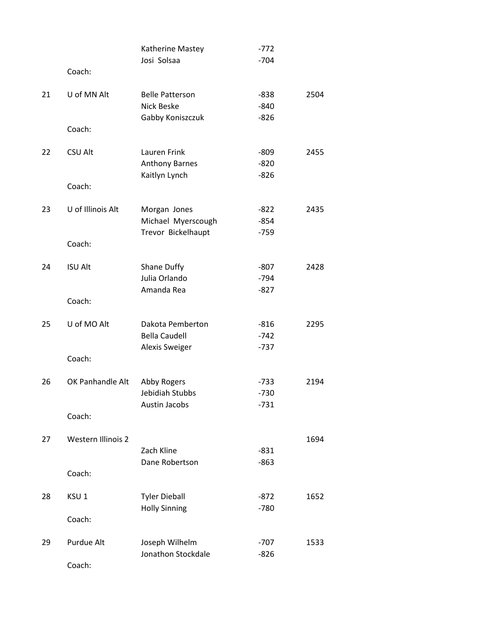|    |                    | Katherine Mastey            | $-772$           |      |
|----|--------------------|-----------------------------|------------------|------|
|    | Coach:             | Josi Solsaa                 | $-704$           |      |
|    |                    |                             |                  |      |
| 21 | U of MN Alt        | <b>Belle Patterson</b>      | -838             | 2504 |
|    |                    | Nick Beske                  | $-840$           |      |
|    |                    | Gabby Koniszczuk            | $-826$           |      |
|    | Coach:             |                             |                  |      |
| 22 | <b>CSU Alt</b>     | Lauren Frink                | -809             | 2455 |
|    |                    | Anthony Barnes              | $-820$           |      |
|    |                    | Kaitlyn Lynch               | $-826$           |      |
|    | Coach:             |                             |                  |      |
| 23 | U of Illinois Alt  | Morgan Jones                | $-822$           | 2435 |
|    |                    | Michael Myerscough          | $-854$           |      |
|    |                    | Trevor Bickelhaupt          | $-759$           |      |
|    | Coach:             |                             |                  |      |
|    |                    |                             |                  |      |
| 24 | <b>ISU Alt</b>     | Shane Duffy                 | $-807$           | 2428 |
|    |                    | Julia Orlando<br>Amanda Rea | $-794$<br>$-827$ |      |
|    | Coach:             |                             |                  |      |
|    |                    |                             |                  |      |
| 25 | U of MO Alt        | Dakota Pemberton            | $-816$           | 2295 |
|    |                    | <b>Bella Caudell</b>        | $-742$           |      |
|    |                    | <b>Alexis Sweiger</b>       | $-737$           |      |
|    | Coach:             |                             |                  |      |
| 26 | OK Panhandle Alt   | Abby Rogers                 | $-733$           | 2194 |
|    |                    | Jebidiah Stubbs             | $-730$           |      |
|    |                    | Austin Jacobs               | $-731$           |      |
|    | Coach:             |                             |                  |      |
|    |                    |                             |                  |      |
| 27 | Western Illinois 2 | Zach Kline                  |                  | 1694 |
|    |                    | Dane Robertson              | $-831$<br>$-863$ |      |
|    | Coach:             |                             |                  |      |
|    |                    |                             |                  |      |
| 28 | KSU <sub>1</sub>   | <b>Tyler Dieball</b>        | $-872$           | 1652 |
|    |                    | <b>Holly Sinning</b>        | $-780$           |      |
|    | Coach:             |                             |                  |      |
| 29 | Purdue Alt         | Joseph Wilhelm              | $-707$           | 1533 |
|    |                    | Jonathon Stockdale          | $-826$           |      |
|    | Coach:             |                             |                  |      |